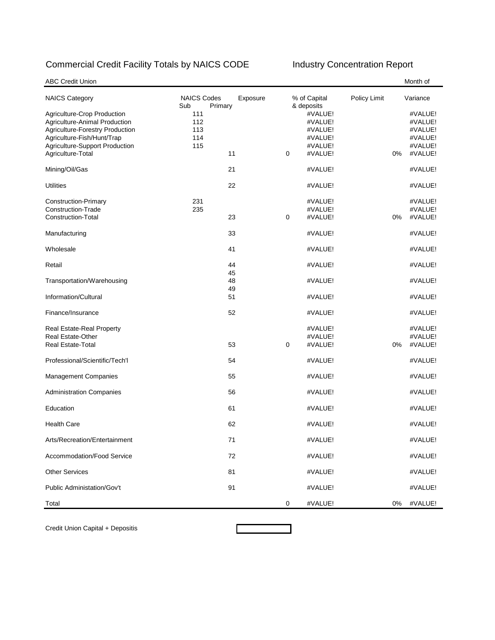## Commercial Credit Facility Totals by NAICS CODE Industry Concentration Report

| <b>ABC Credit Union</b>                                                                                                                                                              |                                      |          |   |                                                                              |              |    | Month of                                                       |
|--------------------------------------------------------------------------------------------------------------------------------------------------------------------------------------|--------------------------------------|----------|---|------------------------------------------------------------------------------|--------------|----|----------------------------------------------------------------|
| <b>NAICS Category</b>                                                                                                                                                                | <b>NAICS Codes</b><br>Sub<br>Primary | Exposure |   | % of Capital                                                                 | Policy Limit |    | Variance                                                       |
| Agriculture-Crop Production<br>Agriculture-Animal Production<br>Agriculture-Forestry Production<br>Agriculture-Fish/Hunt/Trap<br>Agriculture-Support Production<br>Agriculture-Total | 111<br>112<br>113<br>114<br>115      | 11       | 0 | & deposits<br>#VALUE!<br>#VALUE!<br>#VALUE!<br>#VALUE!<br>#VALUE!<br>#VALUE! |              | 0% | #VALUE!<br>#VALUE!<br>#VALUE!<br>#VALUE!<br>#VALUE!<br>#VALUE! |
| Mining/Oil/Gas                                                                                                                                                                       |                                      | 21       |   | #VALUE!                                                                      |              |    | #VALUE!                                                        |
| <b>Utilities</b>                                                                                                                                                                     |                                      | 22       |   | #VALUE!                                                                      |              |    | #VALUE!                                                        |
| <b>Construction-Primary</b><br><b>Construction-Trade</b><br><b>Construction-Total</b>                                                                                                | 231<br>235                           | 23       | 0 | #VALUE!<br>#VALUE!<br>#VALUE!                                                |              | 0% | #VALUE!<br>#VALUE!<br>#VALUE!                                  |
| Manufacturing                                                                                                                                                                        |                                      | 33       |   | #VALUE!                                                                      |              |    | #VALUE!                                                        |
| Wholesale                                                                                                                                                                            |                                      | 41       |   | #VALUE!                                                                      |              |    | #VALUE!                                                        |
| Retail                                                                                                                                                                               |                                      | 44<br>45 |   | #VALUE!                                                                      |              |    | #VALUE!                                                        |
| Transportation/Warehousing                                                                                                                                                           |                                      | 48<br>49 |   | #VALUE!                                                                      |              |    | #VALUE!                                                        |
| Information/Cultural                                                                                                                                                                 |                                      | 51       |   | #VALUE!                                                                      |              |    | #VALUE!                                                        |
| Finance/Insurance                                                                                                                                                                    |                                      | 52       |   | #VALUE!                                                                      |              |    | #VALUE!                                                        |
| Real Estate-Real Property<br><b>Real Estate-Other</b><br><b>Real Estate-Total</b>                                                                                                    |                                      | 53       | 0 | #VALUE!<br>#VALUE!<br>#VALUE!                                                |              | 0% | #VALUE!<br>#VALUE!<br>#VALUE!                                  |
| Professional/Scientific/Tech'l                                                                                                                                                       |                                      | 54       |   | #VALUE!                                                                      |              |    | #VALUE!                                                        |
| <b>Management Companies</b>                                                                                                                                                          |                                      | 55       |   | #VALUE!                                                                      |              |    | #VALUE!                                                        |
| <b>Administration Companies</b>                                                                                                                                                      |                                      | 56       |   | #VALUE!                                                                      |              |    | #VALUE!                                                        |
| Education                                                                                                                                                                            |                                      | 61       |   | #VALUE!                                                                      |              |    | #VALUE!                                                        |
| <b>Health Care</b>                                                                                                                                                                   |                                      | 62       |   | #VALUE!                                                                      |              |    | #VALUE!                                                        |
| Arts/Recreation/Entertainment                                                                                                                                                        |                                      | 71       |   | #VALUE!                                                                      |              |    | #VALUE!                                                        |
| Accommodation/Food Service                                                                                                                                                           |                                      | 72       |   | #VALUE!                                                                      |              |    | #VALUE!                                                        |
| <b>Other Services</b>                                                                                                                                                                |                                      | 81       |   | #VALUE!                                                                      |              |    | #VALUE!                                                        |
| Public Administation/Gov't                                                                                                                                                           |                                      | 91       |   | #VALUE!                                                                      |              |    | #VALUE!                                                        |
| Total                                                                                                                                                                                |                                      |          | 0 | #VALUE!                                                                      |              | 0% | #VALUE!                                                        |

Credit Union Capital + Depositis

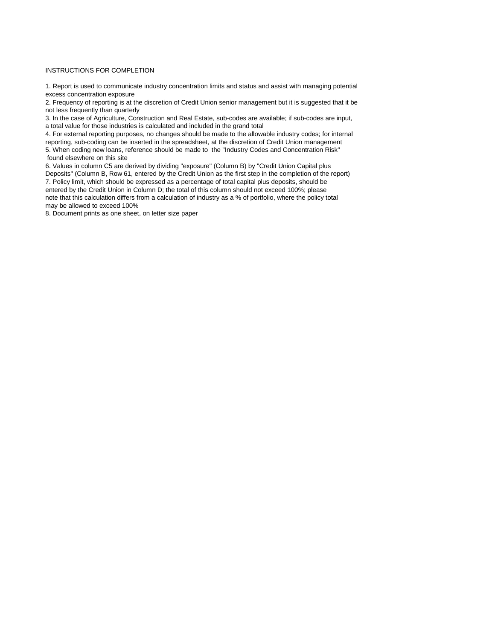## INSTRUCTIONS FOR COMPLETION

1. Report is used to communicate industry concentration limits and status and assist with managing potential excess concentration exposure

2. Frequency of reporting is at the discretion of Credit Union senior management but it is suggested that it be not less frequently than quarterly

3. In the case of Agriculture, Construction and Real Estate, sub-codes are available; if sub-codes are input, a total value for those industries is calculated and included in the grand total

4. For external reporting purposes, no changes should be made to the allowable industry codes; for internal reporting, sub-coding can be inserted in the spreadsheet, at the discretion of Credit Union management 5. When coding new loans, reference should be made to the "Industry Codes and Concentration Risk" found elsewhere on this site

6. Values in column C5 are derived by dividing "exposure" (Column B) by "Credit Union Capital plus Deposits" (Column B, Row 61, entered by the Credit Union as the first step in the completion of the report) 7. Policy limit, which should be expressed as a percentage of total capital plus deposits, should be entered by the Credit Union in Column D; the total of this column should not exceed 100%; please note that this calculation differs from a calculation of industry as a % of portfolio, where the policy total may be allowed to exceed 100%

8. Document prints as one sheet, on letter size paper